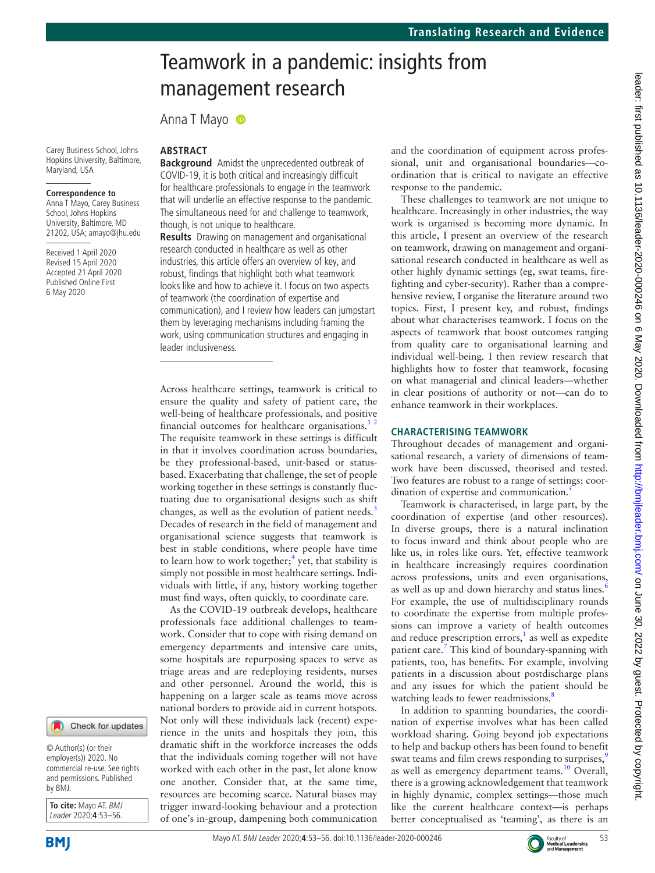# leader: first published as 10.1136/leader-2020-000246 on 6 May 2020. Downloaded from http://bmjleader.bmj.com/ on June 30, 2022 by guest. Protected by copyright leader: tirst published as 10.1136/leader-2020-000246 on 6 May 2020. Downloaded from <http://bmjleader.bmj.com/> on June 30, 2022 by guest. Protected by copyright.

# Teamwork in a pandemic: insights from management research

Anna T Mayo

Carey Business School, Johns Hopkins University, Baltimore, Maryland, USA

### **Correspondence to**

Anna T Mayo, Carey Business School, Johns Hopkins University, Baltimore, MD 21202, USA; amayo@jhu.edu

Received 1 April 2020 Revised 15 April 2020 Accepted 21 April 2020 Published Online First 6 May 2020



**Background** Amidst the unprecedented outbreak of COVID-19, it is both critical and increasingly difficult for healthcare professionals to engage in the teamwork that will underlie an effective response to the pandemic. The simultaneous need for and challenge to teamwork, though, is not unique to healthcare.

**Results** Drawing on management and organisational research conducted in healthcare as well as other industries, this article offers an overview of key, and robust, findings that highlight both what teamwork looks like and how to achieve it. I focus on two aspects of teamwork (the coordination of expertise and communication), and I review how leaders can jumpstart them by leveraging mechanisms including framing the work, using communication structures and engaging in leader inclusiveness.

Across healthcare settings, teamwork is critical to ensure the quality and safety of patient care, the well-being of healthcare professionals, and positive financial outcomes for healthcare organisations.<sup>12</sup> The requisite teamwork in these settings is difficult in that it involves coordination across boundaries, be they professional-based, unit-based or statusbased. Exacerbating that challenge, the set of people working together in these settings is constantly fluctuating due to organisational designs such as shift changes, as well as the evolution of patient needs.<sup>[3](#page-3-1)</sup> Decades of research in the field of management and organisational science suggests that teamwork is best in stable conditions, where people have time to learn how to work together;<sup>4</sup> yet, that stability is simply not possible in most healthcare settings. Individuals with little, if any, history working together must find ways, often quickly, to coordinate care.

As the COVID-19 outbreak develops, healthcare professionals face additional challenges to teamwork. Consider that to cope with rising demand on emergency departments and intensive care units, some hospitals are repurposing spaces to serve as triage areas and are redeploying residents, nurses and other personnel. Around the world, this is happening on a larger scale as teams move across national borders to provide aid in current hotspots. Not only will these individuals lack (recent) experience in the units and hospitals they join, this dramatic shift in the workforce increases the odds that the individuals coming together will not have worked with each other in the past, let alone know one another. Consider that, at the same time, resources are becoming scarce. Natural biases may trigger inward-looking behaviour and a protection of one's in-group, dampening both communication

and the coordination of equipment across professional, unit and organisational boundaries—coordination that is critical to navigate an effective response to the pandemic.

These challenges to teamwork are not unique to healthcare. Increasingly in other industries, the way work is organised is becoming more dynamic. In this article, I present an overview of the research on teamwork, drawing on management and organisational research conducted in healthcare as well as other highly dynamic settings (eg, swat teams, firefighting and cyber-security). Rather than a comprehensive review, I organise the literature around two topics. First, I present key, and robust, findings about what characterises teamwork. I focus on the aspects of teamwork that boost outcomes ranging from quality care to organisational learning and individual well-being. I then review research that highlights how to foster that teamwork, focusing on what managerial and clinical leaders—whether in clear positions of authority or not—can do to enhance teamwork in their workplaces.

# **Characterising teamwork**

Throughout decades of management and organisational research, a variety of dimensions of teamwork have been discussed, theorised and tested. Two features are robust to a range of settings: coordination of expertise and communication.<sup>5</sup>

Teamwork is characterised, in large part, by the coordination of expertise (and other resources). In diverse groups, there is a natural inclination to focus inward and think about people who are like us, in roles like ours. Yet, effective teamwork in healthcare increasingly requires coordination across professions, units and even organisations, as well as up and down hierarchy and status lines.<sup>[6](#page-3-4)</sup> For example, the use of multidisciplinary rounds to coordinate the expertise from multiple professions can improve a variety of health outcomes and reduce prescription errors, $<sup>1</sup>$  $<sup>1</sup>$  $<sup>1</sup>$  as well as expedite</sup> patient care.<sup>7</sup> This kind of boundary-spanning with patients, too, has benefits. For example, involving patients in a discussion about postdischarge plans and any issues for which the patient should be watching leads to fewer readmissions.<sup>8</sup>

In addition to spanning boundaries, the coordination of expertise involves what has been called workload sharing. Going beyond job expectations to help and backup others has been found to benefit swat teams and film crews responding to surprises,<sup>[9](#page-3-7)</sup> as well as emergency department teams.<sup>[10](#page-3-8)</sup> Overall, there is a growing acknowledgement that teamwork in highly dynamic, complex settings—those much like the current healthcare context—is perhaps better conceptualised as 'teaming', as there is an

© Author(s) (or their

Check for updates

employer(s)) 2020. No commercial re-use. See rights and permissions. Published by BMJ.

**To cite:** Mayo AT. BMJ Leader 2020;**4**:53–56.



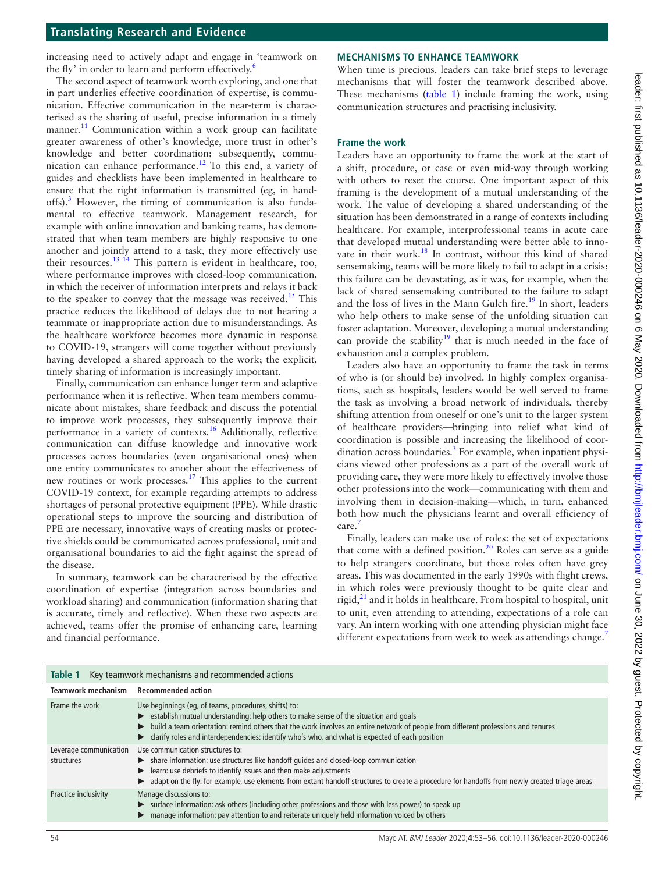# **Translating Research and Evidence**

increasing need to actively adapt and engage in 'teamwork on the fly' in order to learn and perform effectively.<sup>[6](#page-3-4)</sup>

The second aspect of teamwork worth exploring, and one that in part underlies effective coordination of expertise, is communication. Effective communication in the near-term is characterised as the sharing of useful, precise information in a timely manner.<sup>11</sup> Communication within a work group can facilitate greater awareness of other's knowledge, more trust in other's knowledge and better coordination; subsequently, commu-nication can enhance performance.<sup>[12](#page-3-10)</sup> To this end, a variety of guides and checklists have been implemented in healthcare to ensure that the right information is transmitted (eg, in hand-offs).<sup>[3](#page-3-1)</sup> However, the timing of communication is also fundamental to effective teamwork. Management research, for example with online innovation and banking teams, has demonstrated that when team members are highly responsive to one another and jointly attend to a task, they more effectively use their resources.<sup>[13 14](#page-3-11)</sup> This pattern is evident in healthcare, too, where performance improves with closed-loop communication, in which the receiver of information interprets and relays it back to the speaker to convey that the message was received.<sup>15</sup> This practice reduces the likelihood of delays due to not hearing a teammate or inappropriate action due to misunderstandings. As the healthcare workforce becomes more dynamic in response to COVID-19, strangers will come together without previously having developed a shared approach to the work; the explicit, timely sharing of information is increasingly important.

Finally, communication can enhance longer term and adaptive performance when it is reflective. When team members communicate about mistakes, share feedback and discuss the potential to improve work processes, they subsequently improve their performance in a variety of contexts[.16](#page-3-13) Additionally, reflective communication can diffuse knowledge and innovative work processes across boundaries (even organisational ones) when one entity communicates to another about the effectiveness of new routines or work processes.<sup>[17](#page-3-14)</sup> This applies to the current COVID-19 context, for example regarding attempts to address shortages of personal protective equipment (PPE). While drastic operational steps to improve the sourcing and distribution of PPE are necessary, innovative ways of creating masks or protective shields could be communicated across professional, unit and organisational boundaries to aid the fight against the spread of the disease.

In summary, teamwork can be characterised by the effective coordination of expertise (integration across boundaries and workload sharing) and communication (information sharing that is accurate, timely and reflective). When these two aspects are achieved, teams offer the promise of enhancing care, learning and financial performance.

# **Mechanisms to enhance teamwork**

When time is precious, leaders can take brief steps to leverage mechanisms that will foster the teamwork described above. These mechanisms [\(table](#page-1-0) 1) include framing the work, using communication structures and practising inclusivity.

# **Frame the work**

Leaders have an opportunity to frame the work at the start of a shift, procedure, or case or even mid-way through working with others to reset the course. One important aspect of this framing is the development of a mutual understanding of the work. The value of developing a shared understanding of the situation has been demonstrated in a range of contexts including healthcare. For example, interprofessional teams in acute care that developed mutual understanding were better able to inno-vate in their work.<sup>[18](#page-3-15)</sup> In contrast, without this kind of shared sensemaking, teams will be more likely to fail to adapt in a crisis; this failure can be devastating, as it was, for example, when the lack of shared sensemaking contributed to the failure to adapt and the loss of lives in the Mann Gulch fire.<sup>[19](#page-3-16)</sup> In short, leaders who help others to make sense of the unfolding situation can foster adaptation. Moreover, developing a mutual understanding can provide the stability<sup>19</sup> that is much needed in the face of exhaustion and a complex problem.

Leaders also have an opportunity to frame the task in terms of who is (or should be) involved. In highly complex organisations, such as hospitals, leaders would be well served to frame the task as involving a broad network of individuals, thereby shifting attention from oneself or one's unit to the larger system of healthcare providers—bringing into relief what kind of coordination is possible and increasing the likelihood of coor-dination across boundaries.<sup>[3](#page-3-1)</sup> For example, when inpatient physicians viewed other professions as a part of the overall work of providing care, they were more likely to effectively involve those other professions into the work—communicating with them and involving them in decision-making—which, in turn, enhanced both how much the physicians learnt and overall efficiency of care[.7](#page-3-5)

Finally, leaders can make use of roles: the set of expectations that come with a defined position.<sup>[20](#page-3-17)</sup> Roles can serve as a guide to help strangers coordinate, but those roles often have grey areas. This was documented in the early 1990s with flight crews, in which roles were previously thought to be quite clear and rigid, $^{21}$  and it holds in healthcare. From hospital to hospital, unit to unit, even attending to attending, expectations of a role can vary. An intern working with one attending physician might face different expectations from week to week as attendings change.<sup>[7](#page-3-5)</sup>

<span id="page-1-0"></span>

| Key teamwork mechanisms and recommended actions<br>Table 1                                                                                                                                                                                                                                                                                                                                                     |  |
|----------------------------------------------------------------------------------------------------------------------------------------------------------------------------------------------------------------------------------------------------------------------------------------------------------------------------------------------------------------------------------------------------------------|--|
| <b>Recommended action</b>                                                                                                                                                                                                                                                                                                                                                                                      |  |
| Use beginnings (eg, of teams, procedures, shifts) to:<br>Examples betablish mutual understanding: help others to make sense of the situation and goals<br>build a team orientation: remind others that the work involves an entire network of people from different professions and tenures<br>$\triangleright$ clarify roles and interdependencies: identify who's who, and what is expected of each position |  |
| Use communication structures to:<br>Share information: use structures like handoff quides and closed-loop communication<br>learn: use debriefs to identify issues and then make adjustments<br>adapt on the fly: for example, use elements from extant handoff structures to create a procedure for handoffs from newly created triage areas                                                                   |  |
| Manage discussions to:<br>► surface information: ask others (including other professions and those with less power) to speak up<br>manage information: pay attention to and reiterate uniquely held information voiced by others                                                                                                                                                                               |  |
| Leverage communication                                                                                                                                                                                                                                                                                                                                                                                         |  |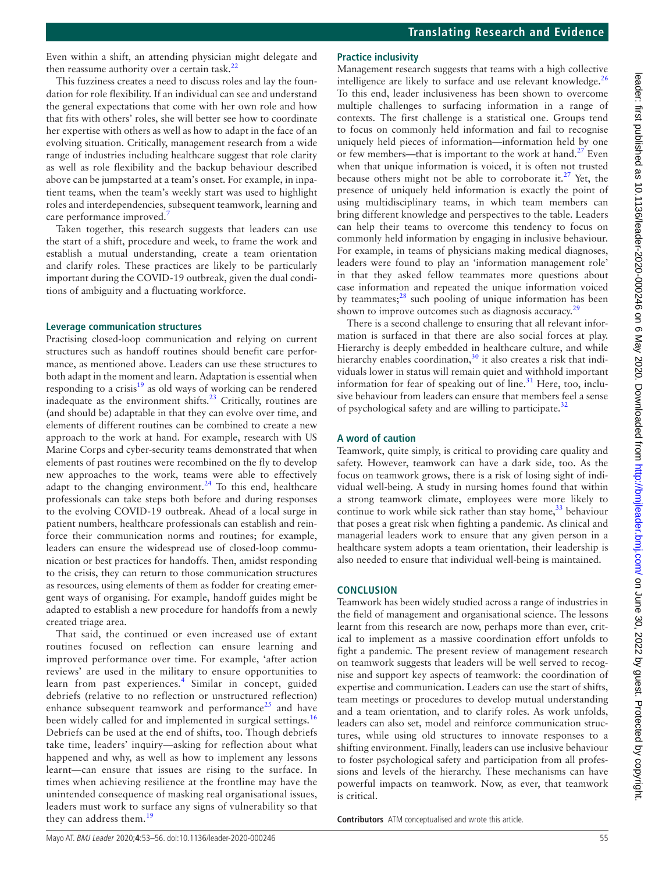Even within a shift, an attending physician might delegate and then reassume authority over a certain task. $^{22}$ 

This fuzziness creates a need to discuss roles and lay the foundation for role flexibility. If an individual can see and understand the general expectations that come with her own role and how that fits with others' roles, she will better see how to coordinate her expertise with others as well as how to adapt in the face of an evolving situation. Critically, management research from a wide range of industries including healthcare suggest that role clarity as well as role flexibility and the backup behaviour described above can be jumpstarted at a team's onset. For example, in inpatient teams, when the team's weekly start was used to highlight roles and interdependencies, subsequent teamwork, learning and care performance improved.<sup>[7](#page-3-5)</sup>

Taken together, this research suggests that leaders can use the start of a shift, procedure and week, to frame the work and establish a mutual understanding, create a team orientation and clarify roles. These practices are likely to be particularly important during the COVID-19 outbreak, given the dual conditions of ambiguity and a fluctuating workforce.

# **Leverage communication structures**

Practising closed-loop communication and relying on current structures such as handoff routines should benefit care performance, as mentioned above. Leaders can use these structures to both adapt in the moment and learn. Adaptation is essential when responding to a crisis $19$  as old ways of working can be rendered inadequate as the environment shifts. $^{23}$  $^{23}$  $^{23}$  Critically, routines are (and should be) adaptable in that they can evolve over time, and elements of different routines can be combined to create a new approach to the work at hand. For example, research with US Marine Corps and cyber-security teams demonstrated that when elements of past routines were recombined on the fly to develop new approaches to the work, teams were able to effectively adapt to the changing environment.<sup>[24](#page-3-21)</sup> To this end, healthcare professionals can take steps both before and during responses to the evolving COVID-19 outbreak. Ahead of a local surge in patient numbers, healthcare professionals can establish and reinforce their communication norms and routines; for example, leaders can ensure the widespread use of closed-loop communication or best practices for handoffs. Then, amidst responding to the crisis, they can return to those communication structures as resources, using elements of them as fodder for creating emergent ways of organising. For example, handoff guides might be adapted to establish a new procedure for handoffs from a newly created triage area.

That said, the continued or even increased use of extant routines focused on reflection can ensure learning and improved performance over time. For example, 'after action reviews' are used in the military to ensure opportunities to learn from past experiences.<sup>[4](#page-3-2)</sup> Similar in concept, guided debriefs (relative to no reflection or unstructured reflection) enhance subsequent teamwork and performance<sup>[25](#page-3-22)</sup> and have been widely called for and implemented in surgical settings.<sup>[16](#page-3-13)</sup> Debriefs can be used at the end of shifts, too. Though debriefs take time, leaders' inquiry—asking for reflection about what happened and why, as well as how to implement any lessons learnt—can ensure that issues are rising to the surface. In times when achieving resilience at the frontline may have the unintended consequence of masking real organisational issues, leaders must work to surface any signs of vulnerability so that they can address them.<sup>[19](#page-3-16)</sup>

# **Practice inclusivity**

Management research suggests that teams with a high collective intelligence are likely to surface and use relevant knowledge. $^{26}$  $^{26}$  $^{26}$ To this end, leader inclusiveness has been shown to overcome multiple challenges to surfacing information in a range of contexts. The first challenge is a statistical one. Groups tend to focus on commonly held information and fail to recognise uniquely held pieces of information—information held by one or few members—that is important to the work at hand.<sup>27</sup> Even when that unique information is voiced, it is often not trusted because others might not be able to corroborate it.<sup>[27](#page-3-24)</sup> Yet, the presence of uniquely held information is exactly the point of using multidisciplinary teams, in which team members can bring different knowledge and perspectives to the table. Leaders can help their teams to overcome this tendency to focus on commonly held information by engaging in inclusive behaviour. For example, in teams of physicians making medical diagnoses, leaders were found to play an 'information management role' in that they asked fellow teammates more questions about case information and repeated the unique information voiced by teammates; $28$  such pooling of unique information has been shown to improve outcomes such as diagnosis accuracy.<sup>[29](#page-3-26)</sup>

There is a second challenge to ensuring that all relevant information is surfaced in that there are also social forces at play. Hierarchy is deeply embedded in healthcare culture, and while hierarchy enables coordination, $30$  it also creates a risk that individuals lower in status will remain quiet and withhold important information for fear of speaking out of line.<sup>[31](#page-3-28)</sup> Here, too, inclusive behaviour from leaders can ensure that members feel a sense of psychological safety and are willing to participate.<sup>32</sup>

# **A word of caution**

Teamwork, quite simply, is critical to providing care quality and safety. However, teamwork can have a dark side, too. As the focus on teamwork grows, there is a risk of losing sight of individual well-being. A study in nursing homes found that within a strong teamwork climate, employees were more likely to continue to work while sick rather than stay home, $33$  behaviour that poses a great risk when fighting a pandemic. As clinical and managerial leaders work to ensure that any given person in a healthcare system adopts a team orientation, their leadership is also needed to ensure that individual well-being is maintained.

# **Conclusion**

Teamwork has been widely studied across a range of industries in the field of management and organisational science. The lessons learnt from this research are now, perhaps more than ever, critical to implement as a massive coordination effort unfolds to fight a pandemic. The present review of management research on teamwork suggests that leaders will be well served to recognise and support key aspects of teamwork: the coordination of expertise and communication. Leaders can use the start of shifts, team meetings or procedures to develop mutual understanding and a team orientation, and to clarify roles. As work unfolds, leaders can also set, model and reinforce communication structures, while using old structures to innovate responses to a shifting environment. Finally, leaders can use inclusive behaviour to foster psychological safety and participation from all professions and levels of the hierarchy. These mechanisms can have powerful impacts on teamwork. Now, as ever, that teamwork is critical.

**Contributors** ATM conceptualised and wrote this article.